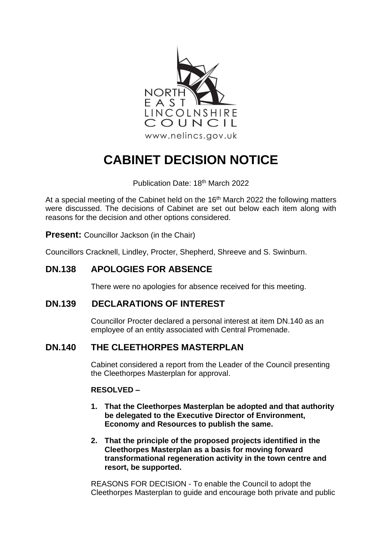

# **CABINET DECISION NOTICE**

Publication Date: 18<sup>th</sup> March 2022

At a special meeting of the Cabinet held on the  $16<sup>th</sup>$  March 2022 the following matters were discussed. The decisions of Cabinet are set out below each item along with reasons for the decision and other options considered.

**Present:** Councillor Jackson (in the Chair)

Councillors Cracknell, Lindley, Procter, Shepherd, Shreeve and S. Swinburn.

# **DN.138 APOLOGIES FOR ABSENCE**

There were no apologies for absence received for this meeting.

## **DN.139 DECLARATIONS OF INTEREST**

Councillor Procter declared a personal interest at item DN.140 as an employee of an entity associated with Central Promenade.

# **DN.140 THE CLEETHORPES MASTERPLAN**

Cabinet considered a report from the Leader of the Council presenting the Cleethorpes Masterplan for approval.

#### **RESOLVED –**

- **1. That the Cleethorpes Masterplan be adopted and that authority be delegated to the Executive Director of Environment, Economy and Resources to publish the same.**
- **2. That the principle of the proposed projects identified in the Cleethorpes Masterplan as a basis for moving forward transformational regeneration activity in the town centre and resort, be supported.**

REASONS FOR DECISION - To enable the Council to adopt the Cleethorpes Masterplan to guide and encourage both private and public